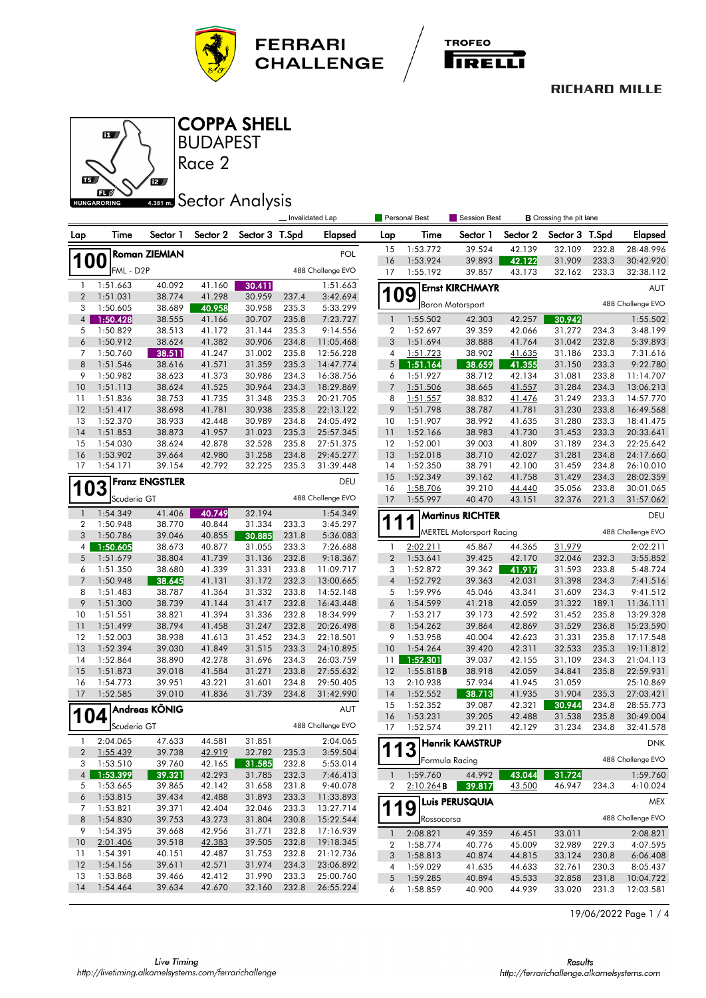





### BUDAPEST COPPA SHELL

Race 2

# **ABB1 mm** Sector Analysis

|                     |                      |                       |                  |                  |                | Invalidated Lap      |                  | Personal Best | Session Best                    | <b>B</b> Crossing the pit lane |                |       |                   |
|---------------------|----------------------|-----------------------|------------------|------------------|----------------|----------------------|------------------|---------------|---------------------------------|--------------------------------|----------------|-------|-------------------|
| Lap                 | Time                 | Sector 1              | Sector 2         | Sector 3 T.Spd   |                | Elapsed              | Lap              | Time          | Sector 1                        | Sector 2                       | Sector 3 T.Spd |       | Elapsed           |
|                     |                      | <b>Roman ZIEMIAN</b>  |                  |                  |                | POL                  | 15               | 1:53.772      | 39.524                          | 42.139                         | 32.109         | 232.8 | 28:48.996         |
| 1                   | 00                   |                       |                  |                  |                |                      | 16               | 1:53.924      | 39.893                          | 42.122                         | 31.909         | 233.3 | 30:42.920         |
|                     | FML - D2P            |                       |                  |                  |                | 488 Challenge EVO    | 17               | 1:55.192      | 39.857                          | 43.173                         | 32.162         | 233.3 | 32:38.112         |
| -1                  | 1:51.663             | 40.092                | 41.160           | 30.411           |                | 1:51.663             |                  |               | <b>Ernst KIRCHMAYR</b>          |                                |                |       | AUT               |
| $\overline{2}$<br>3 | 1:51.031<br>1:50.605 | 38.774<br>38.689      | 41.298<br>40.958 | 30.959<br>30.958 | 237.4<br>235.3 | 3:42.694<br>5:33.299 | <b>109</b>       |               | <b>Baron Motorsport</b>         |                                |                |       | 488 Challenge EVO |
| $\overline{4}$      | 1:50.428             | 38.555                | 41.166           | 30.707           | 235.8          | 7:23.727             | $\overline{1}$   | 1:55.502      | 42.303                          | 42.257                         | 30.942         |       | 1:55.502          |
| 5                   | 1:50.829             | 38.513                | 41.172           | 31.144           | 235.3          | 9:14.556             | $\boldsymbol{2}$ | 1:52.697      | 39.359                          | 42.066                         | 31.272         | 234.3 | 3:48.199          |
| 6                   | 1:50.912             | 38.624                | 41.382           | 30.906           | 234.8          | 11:05.468            | 3                | 1:51.694      | 38.888                          | 41.764                         | 31.042         | 232.8 | 5:39.893          |
| 7                   | 1:50.760             | 38.511                | 41.247           | 31.002           | 235.8          | 12:56.228            | 4                | 1:51.723      | 38.902                          | 41.635                         | 31.186         | 233.3 | 7:31.616          |
| 8                   | 1:51.546             | 38.616                | 41.571           | 31.359           | 235.3          | 14:47.774            | 5                | 1:51.164      | 38.659                          | 41.355                         | 31.150         | 233.3 | 9:22.780          |
| 9                   | 1:50.982             | 38.623                | 41.373           | 30.986           | 234.3          | 16:38.756            | 6                | 1:51.927      | 38.712                          | 42.134                         | 31.081         | 233.8 | 11:14.707         |
| 10                  | 1:51.113             | 38.624                | 41.525           | 30.964           | 234.3          | 18:29.869            | $\overline{7}$   | 1:51.506      | 38.665                          | 41.557                         | 31.284         | 234.3 | 13:06.213         |
| 11                  | 1:51.836             | 38.753                | 41.735           | 31.348           | 235.3          | 20:21.705            | 8                | 1:51.557      | 38.832                          | 41.476                         | 31.249         | 233.3 | 14:57.770         |
| 12                  | 1:51.417             | 38.698                | 41.781           | 30.938           | 235.8          | 22:13.122            | 9                | 1:51.798      | 38.787                          | 41.781                         | 31.230         | 233.8 | 16:49.568         |
| 13                  | 1:52.370             | 38.933                | 42.448           | 30.989           | 234.8          | 24:05.492            | 10               | 1:51.907      | 38.992                          | 41.635                         | 31.280         | 233.3 | 18:41.475         |
| 14                  | 1:51.853             | 38.873                | 41.957           | 31.023           | 235.3          | 25:57.345            | 11               | 1:52.166      | 38.983                          | 41.730                         | 31.453         | 233.3 | 20:33.641         |
| 15                  | 1:54.030             | 38.624                | 42.878           | 32.528           | 235.8          | 27:51.375            | 12               | 1:52.001      | 39.003                          | 41.809                         | 31.189         | 234.3 | 22:25.642         |
| <b>16</b>           | 1:53.902             | 39.664                | 42.980           | 31.258           | 234.8          | 29:45.277            | 13               | 1:52.018      | 38.710                          | 42.027                         | 31.281         | 234.8 | 24:17.660         |
| 17                  | 1:54.171             | 39.154                | 42.792           | 32.225           | 235.3          | 31:39.448            | 14               | 1:52.350      | 38.791                          | 42.100                         | 31.459         | 234.8 | 26:10.010         |
|                     |                      |                       |                  |                  |                |                      | 15               | 1:52.349      | 39.162                          | 41.758                         | 31.429         | 234.3 | 28:02.359         |
|                     | 03                   | <b>Franz ENGSTLER</b> |                  |                  |                | DEU                  | 16               | 1:58.706      | 39.210                          | <u>44.440</u>                  | 35.056         | 233.8 | 30:01.065         |
|                     | Scuderia GT          |                       |                  |                  |                | 488 Challenge EVO    | 17               | 1:55.997      | 40.470                          | 43.151                         | 32.376         | 221.3 | 31:57.062         |
| $\mathbf{1}$        | 1:54.349             | 41.406                | 40.749           | 32.194           |                | 1:54.349             |                  |               | <b>Martinus RICHTER</b>         |                                |                |       | DEU               |
| 2                   | 1:50.948             | 38.770                | 40.844           | 31.334           | 233.3          | 3:45.297             | 1<br>1           |               |                                 |                                |                |       |                   |
| 3                   | 1:50.786             | 39.046                | 40.855           | 30.885           | 231.8          | 5:36.083             |                  |               | <b>MERTEL Motorsport Racing</b> |                                |                |       | 488 Challenge EVO |
| 4                   | 1:50.605             | 38.673                | 40.877           | 31.055           | 233.3          | 7:26.688             | 1                | 2:02.211      | 45.867                          | 44.365                         | 31.979         |       | 2:02.211          |
| 5                   | 1:51.679             | 38.804                | 41.739           | 31.136           | 232.8          | 9:18.367             | $\overline{2}$   | 1:53.641      | 39.425                          | 42.170                         | 32.046         | 232.3 | 3:55.852          |
| 6                   | 1:51.350             | 38.680                | 41.339           | 31.331           | 233.8          | 11:09.717            | 3                | 1:52.872      | 39.362                          | 41.917                         | 31.593         | 233.8 | 5:48.724          |
| $\overline{7}$      | 1:50.948             | 38.645                | 41.131           | 31.172           | 232.3          | 13:00.665            | $\overline{4}$   | 1:52.792      | 39.363                          | 42.031                         | 31.398         | 234.3 | 7:41.516          |
| 8                   | 1:51.483             | 38.787                | 41.364           | 31.332           | 233.8          | 14:52.148            | 5                | 1:59.996      | 45.046                          | 43.341                         | 31.609         | 234.3 | 9:41.512          |
| 9                   | 1:51.300             | 38.739                | 41.144           | 31.417           | 232.8          | 16:43.448            | 6                | 1:54.599      | 41.218                          | 42.059                         | 31.322         | 189.1 | 11:36.111         |
| 10                  | 1:51.551             | 38.821                | 41.394           | 31.336           | 232.8          | 18:34.999            | 7                | 1:53.217      | 39.173                          | 42.592                         | 31.452         | 235.8 | 13:29.328         |
| 11                  | 1:51.499             | 38.794                | 41.458           | 31.247           | 232.8          | 20:26.498            | 8                | 1:54.262      | 39.864                          | 42.869                         | 31.529         | 236.8 | 15:23.590         |
| 12                  | 1:52.003             | 38.938                | 41.613           | 31.452           | 234.3          | 22:18.501            | 9                | 1:53.958      | 40.004                          | 42.623                         | 31.331         | 235.8 | 17:17.548         |
| 13                  | 1:52.394             | 39.030                | 41.849           | 31.515           | 233.3          | 24:10.895            | 10               | 1:54.264      | 39.420                          | 42.311                         | 32.533         | 235.3 | 19:11.812         |
| 14                  | 1:52.864             | 38.890                | 42.278           | 31.696           | 234.3          | 26:03.759            | 11               | 1:52.301      | 39.037                          | 42.155                         | 31.109         | 234.3 | 21:04.113         |
| 15                  | 1:51.873             | 39.018                | 41.584           | 31.271           | 233.8          | 27:55.632            | 12               | 1:55.818B     | 38.918                          | 42.059                         | 34.841         | 235.8 | 22:59.931         |
| 16                  | 1:54.773             | 39.951                | 43.221           | 31.601           | 234.8          | 29:50.405            | 13               | 2:10.938      | 57.934                          | 41.945                         | 31.059         |       | 25:10.869         |
| 17                  | 1:52.585             | 39.010                | 41.836           | 31.739           | 234.8          | 31:42.990            | 14               | 1:52.552      | 38.713                          | 41.935                         | 31.904         | 235.3 | 27:03.421         |
|                     |                      |                       |                  |                  |                |                      | 15               | 1:52.352      | 39.087                          | 42.321                         | 30.944         | 234.8 | 28:55.773         |
|                     | 04                   | Andreas KÖNIG         |                  |                  |                | AUT                  | 16               | 1:53.231      | 39.205                          | 42.488                         | 31.538         | 235.8 | 30:49.004         |
|                     | Scuderia GT          |                       |                  |                  |                | 488 Challenge EVO    | 17               | 1:52.574      | 39.211                          | 42.129                         | 31.234         | 234.8 | 32:41.578         |
| 1                   | 2:04.065             | 47.633                | 44.581           | 31.851           |                | 2:04.065             |                  |               | Henrik KAMSTRUP                 |                                |                |       | <b>DNK</b>        |
| 2                   | 1:55.439             | 39.738                | 42.919           | 32.782           | 235.3          | 3:59.504             | 113              |               |                                 |                                |                |       |                   |
| 3                   | 1:53.510             | 39.760                | 42.165           | 31.585           | 232.8          | 5:53.014             |                  |               | Formula Racing                  |                                |                |       | 488 Challenge EVO |
| $\overline{4}$      | 1:53.399             | 39.321                | 42.293           | 31.785           | 232.3          | 7:46.413             | $\mathbf{1}$     | 1:59.760      | 44.992                          | 43.044                         | 31.724         |       | 1:59.760          |
| 5                   | 1:53.665             | 39.865                | 42.142           | 31.658           | 231.8          | 9:40.078             | 2                | 2:10.264B     | 39.817                          | 43.500                         | 46.947         | 234.3 | 4:10.024          |
| 6                   | 1:53.815             | 39.434                | 42.488           | 31.893           | 233.3          | 11:33.893            |                  |               | <b>Luis PERUSQUIA</b>           |                                |                |       | MEX               |
| 7                   | 1:53.821             | 39.371                | 42.404           | 32.046           | 233.3          | 13:27.714            | 1                | 9             |                                 |                                |                |       |                   |
| 8                   | 1:54.830             | 39.753                | 43.273           | 31.804           | 230.8          | 15:22.544            |                  | Rossocorsa    |                                 |                                |                |       | 488 Challenge EVO |
| 9                   | 1:54.395             | 39.668                | 42.956           | 31.771           | 232.8          | 17:16.939            | $\mathbf{1}$     | 2:08.821      | 49.359                          | 46.451                         | 33.011         |       | 2:08.821          |
| 10                  | 2:01.406             | 39.518                | 42.383           | 39.505           | 232.8          | 19:18.345            | $\boldsymbol{2}$ | 1:58.774      | 40.776                          | 45.009                         | 32.989         | 229.3 | 4:07.595          |
| 11                  | 1:54.391             | 40.151                | 42.487           | 31.753           | 232.8          | 21:12.736            | 3                | 1:58.813      | 40.874                          | 44.815                         | 33.124         | 230.8 | 6:06.408          |
| 12                  | 1:54.156             | 39.611                | 42.571           | 31.974           | 234.3          | 23:06.892            | 4                | 1:59.029      | 41.635                          | 44.633                         | 32.761         | 230.3 | 8:05.437          |
| 13                  | 1:53.868             | 39.466                | 42.412           | 31.990           | 233.3          | 25:00.760            | $\sqrt{5}$       | 1:59.285      | 40.894                          | 45.533                         | 32.858         | 231.8 | 10:04.722         |
| 14                  | 1:54.464             | 39.634                | 42.670           | 32.160           | 232.8          | 26:55.224            | 6                | 1:58.859      | 40.900                          | 44.939                         | 33.020         | 231.3 | 12:03.581         |

19/06/2022 Page 1 / 4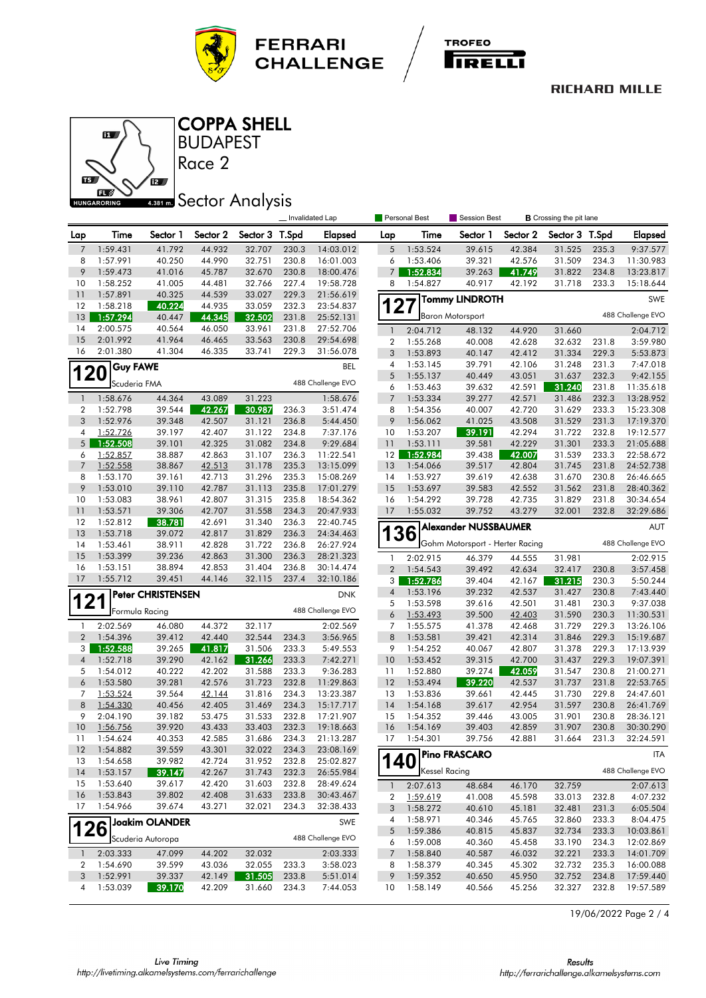





**BUDAPEST** COPPA SHELL

Race 2

# **4.381 mm** Sector Analysis

|                |                      |                          |                  |                  |                | Invalidated Lap        |                     | <b>Personal Best</b> | <b>Session Best</b>             |                  | <b>B</b> Crossing the pit lane |                |                        |
|----------------|----------------------|--------------------------|------------------|------------------|----------------|------------------------|---------------------|----------------------|---------------------------------|------------------|--------------------------------|----------------|------------------------|
| Lap            | Time                 | Sector 1                 | Sector 2         | Sector 3 T.Spd   |                | <b>Elapsed</b>         | Lap                 | Time                 | Sector 1                        | Sector 2         | Sector 3                       | T.Spd          | <b>Elapsed</b>         |
| $\overline{7}$ | 1:59.431             | 41.792                   | 44.932           | 32.707           | 230.3          | 14:03.012              | 5                   | 1:53.524             | 39.615                          | 42.384           | 31.525                         | 235.3          | 9:37.577               |
| 8              | 1:57.991             | 40.250                   | 44.990           | 32.751           | 230.8          | 16:01.003              | 6                   | 1:53.406             | 39.321                          | 42.576           | 31.509                         | 234.3          | 11:30.983              |
| 9              | 1:59.473             | 41.016                   | 45.787           | 32.670           | 230.8          | 18:00.476              | $\overline{7}$      | 1:52.834             | 39.263                          | 41.749           | 31.822                         | 234.8          | 13:23.817              |
| 10             | 1:58.252             | 41.005                   | 44.481           | 32.766           | 227.4          | 19:58.728              | 8                   | 1:54.827             | 40.917                          | 42.192           | 31.718                         | 233.3          | 15:18.644              |
| 11             | 1:57.891             | 40.325                   | 44.539           | 33.027           | 229.3          | 21:56.619              |                     |                      | <b>Tommy LINDROTH</b>           |                  |                                |                | SWE                    |
| 12             | 1:58.218             | 40.224                   | 44.935           | 33.059           | 232.3          | 23:54.837              | 127                 |                      |                                 |                  |                                |                |                        |
| 13             | 1:57.294             | 40.447                   | 44.345           | 32.502           | 231.8          | 25:52.131              |                     |                      | <b>Baron Motorsport</b>         |                  |                                |                | 488 Challenge EVO      |
| 14             | 2:00.575             | 40.564                   | 46.050           | 33.961           | 231.8          | 27:52.706              | $\overline{1}$      | 2:04.712             | 48.132                          | 44.920           | 31.660                         |                | 2:04.712               |
| 15<br>16       | 2:01.992<br>2:01.380 | 41.964<br>41.304         | 46.465<br>46.335 | 33.563           | 230.8<br>229.3 | 29:54.698              | $\boldsymbol{2}$    | 1:55.268             | 40.008                          | 42.628           | 32.632                         | 231.8          | 3:59.980               |
|                |                      |                          |                  | 33.741           |                | 31:56.078              | 3                   | 1:53.893             | 40.147                          | 42.412           | 31.334                         | 229.3          | 5:53.873               |
| <b>120</b>     | <b>Guy FAWE</b>      |                          |                  |                  |                | BEL                    | $\pmb{4}$<br>5      | 1:53.145<br>1:55.137 | 39.791<br>40.449                | 42.106<br>43.051 | 31.248<br>31.637               | 231.3<br>232.3 | 7:47.018<br>9:42.155   |
|                | Scuderia FMA         |                          |                  |                  |                | 488 Challenge EVO      | 6                   | 1:53.463             | 39.632                          | 42.591           | 31.240                         | 231.8          | 11:35.618              |
| $\mathbf{1}$   | 1:58.676             | 44.364                   | 43.089           | 31.223           |                | 1:58.676               | $\overline{7}$      | 1:53.334             | 39.277                          | 42.571           | 31.486                         | 232.3          | 13:28.952              |
| 2              | 1:52.798             | 39.544                   | 42.267           | 30.987           | 236.3          | 3:51.474               | 8                   | 1:54.356             | 40.007                          | 42.720           | 31.629                         | 233.3          | 15:23.308              |
| 3              | 1:52.976             | 39.348                   | 42.507           | 31.121           | 236.8          | 5:44.450               | 9                   | 1:56.062             | 41.025                          | 43.508           | 31.529                         | 231.3          | 17:19.370              |
| 4              | 1:52.726             | 39.197                   | 42.407           | 31.122           | 234.8          | 7:37.176               | 10                  | 1:53.207             | 39.191                          | 42.294           | 31.722                         | 232.8          | 19:12.577              |
| 5 <sup>1</sup> | 1:52.508             | 39.101                   | 42.325           | 31.082           | 234.8          | 9:29.684               | 11                  | 1:53.111             | 39.581                          | 42.229           | 31.301                         | 233.3          | 21:05.688              |
| 6              | 1:52.857             | 38.887                   | 42.863           | 31.107           | 236.3          | 11:22.541              | 12                  | 1:52.984             | 39.438                          | 42.007           | 31.539                         | 233.3          | 22:58.672              |
| $\overline{7}$ | 1:52.558             | 38.867                   | 42.513           | 31.178           | 235.3          | 13:15.099              | 13                  | 1:54.066             | 39.517                          | 42.804           | 31.745                         | 231.8          | 24:52.738              |
| 8              | 1:53.170             | 39.161                   | 42.713           | 31.296           | 235.3          | 15:08.269              | 14                  | 1:53.927             | 39.619                          | 42.638           | 31.670                         | 230.8          | 26:46.665              |
| 9              | 1:53.010             | 39.110                   | 42.787           | 31.113           | 235.8          | 17:01.279              | 15                  | 1:53.697             | 39.583                          | 42.552           | 31.562                         | 231.8          | 28:40.362              |
| 10             | 1:53.083             | 38.961                   | 42.807           | 31.315           | 235.8          | 18:54.362              | 16                  | 1:54.292             | 39.728                          | 42.735           | 31.829                         | 231.8          | 30:34.654              |
| 11             | 1:53.571             | 39.306                   | 42.707           | 31.558           | 234.3          | 20:47.933              | 17                  | 1:55.032             | 39.752                          | 43.279           | 32.001                         | 232.8          | 32:29.686              |
| 12             | 1:52.812             | 38.781                   | 42.691           | 31.340           | 236.3          | 22:40.745              |                     |                      | <b>Alexander NUSSBAUMER</b>     |                  |                                |                | <b>AUT</b>             |
| 13<br>14       | 1:53.718<br>1:53.461 | 39.072<br>38.911         | 42.817<br>42.828 | 31.829<br>31.722 | 236.3<br>236.8 | 24:34.463<br>26:27.924 |                     | 36                   | Gohm Motorsport - Herter Racing |                  |                                |                | 488 Challenge EVO      |
| 15             | 1:53.399             | 39.236                   | 42.863           | 31.300           | 236.3          | 28:21.323              |                     |                      |                                 |                  |                                |                |                        |
| 16             | 1:53.151             | 38.894                   | 42.853           | 31.404           | 236.8          | 30:14.474              | 1<br>$\overline{2}$ | 2:02.915<br>1:54.543 | 46.379<br>39.492                | 44.555           | 31.981                         | 230.8          | 2:02.915               |
| 17             | 1:55.712             | 39.451                   | 44.146           | 32.115           | 237.4          | 32:10.186              | 3                   | 1:52.786             | 39.404                          | 42.634<br>42.167 | 32.417<br>31.215               | 230.3          | 3:57.458<br>5:50.244   |
|                |                      | <b>Peter CHRISTENSEN</b> |                  |                  |                |                        | $\sqrt{4}$          | 1:53.196             | 39.232                          | 42.537           | 31.427                         | 230.8          | 7:43.440               |
| 121            |                      |                          |                  |                  |                | <b>DNK</b>             | 5                   | 1:53.598             | 39.616                          | 42.501           | 31.481                         | 230.3          | 9:37.038               |
|                |                      | Formula Racing           |                  |                  |                | 488 Challenge EVO      | 6                   | 1:53.493             | 39.500                          | 42.403           | 31.590                         | 230.3          | 11:30.531              |
| $\mathbf{1}$   | 2:02.569             | 46.080                   | 44.372           | 32.117           |                | 2:02.569               | $\overline{7}$      | 1:55.575             | 41.378                          | 42.468           | 31.729                         | 229.3          | 13:26.106              |
| $\overline{2}$ | 1:54.396             | 39.412                   | 42.440           | 32.544           | 234.3          | 3:56.965               | 8                   | 1:53.581             | 39.421                          | 42.314           | 31.846                         | 229.3          | 15:19.687              |
| 3              | 1:52.588             | 39.265                   | 41.817           | 31.506           | 233.3          | 5:49.553               | 9                   | 1:54.252             | 40.067                          | 42.807           | 31.378                         | 229.3          | 17:13.939              |
| $\overline{4}$ | 1:52.718             | 39.290                   | 42.162           | 31.266           | 233.3          | 7:42.271               | 10                  | 1:53.452             | 39.315                          | 42.700           | 31.437                         | 229.3          | 19:07.391              |
| 5              | 1:54.012             | 40.222                   | 42.202           | 31.588           | 233.3          | 9:36.283               | 11                  | 1:52.880             | 39.274                          | 42.059           | 31.547                         | 230.8          | 21:00.271              |
| 6              | 1:53.580             | 39.281                   | 42.576           | 31.723           | 232.8          | 11:29.863              | 12                  | 1:53.494             | 39.220                          | 42.537           | 31.737                         | 231.8          | 22:53.765              |
| 7              | 1:53.524             | 39.564                   | 42.144           | 31.816           | 234.3          | 13:23.387              | 13                  | 1:53.836             | 39.661                          | 42.445           | 31.730                         | 229.8          | 24:47.601              |
| 8<br>9         | 1:54.330             | 40.456                   | 42.405           | 31.469           | 234.3          | 15:17.717              | 14                  | 1:54.168             | 39.617                          | 42.954           | 31.597                         | 230.8          | 26:41.769              |
| 10             | 2:04.190<br>1:56.756 | 39.182<br>39.920         | 53.475<br>43.433 | 31.533<br>33.403 | 232.8<br>232.3 | 17:21.907<br>19:18.663 | 15<br>16            | 1:54.352<br>1:54.169 | 39.446<br>39.403                | 43.005<br>42.859 | 31.901<br>31.907               | 230.8<br>230.8 | 28:36.121<br>30:30.290 |
| 11             | 1:54.624             | 40.353                   | 42.585           | 31.686           | 234.3          | 21:13.287              | 17                  | 1:54.301             | 39.756                          | 42.881           | 31.664                         | 231.3          | 32:24.591              |
| 12             | 1:54.882             | 39.559                   | 43.301           | 32.022           | 234.3          | 23:08.169              |                     |                      |                                 |                  |                                |                |                        |
| 13             | 1:54.658             | 39.982                   | 42.724           | 31.952           | 232.8          | 25:02.827              | 140                 |                      | <b>Pino FRASCARO</b>            |                  |                                |                | ITA                    |
| 14             | 1:53.157             | 39.147                   | 42.267           | 31.743           | 232.3          | 26:55.984              |                     | Kessel Racing        |                                 |                  |                                |                | 488 Challenge EVO      |
| 15             | 1:53.640             | 39.617                   | 42.420           | 31.603           | 232.8          | 28:49.624              | $\mathbf{1}$        | 2:07.613             | 48.684                          | 46.170           | 32.759                         |                | 2:07.613               |
| 16             | 1:53.843             | 39.802                   | 42.408           | 31.633           | 233.8          | 30:43.467              | 2                   | 1:59.619             | 41.008                          | 45.598           | 33.013                         | 232.8          | 4:07.232               |
| 17             | 1:54.966             | 39.674                   | 43.271           | 32.021           | 234.3          | 32:38.433              | 3                   | 1:58.272             | 40.610                          | 45.181           | 32.481                         | 231.3          | 6:05.504               |
|                |                      | <b>Joakim OLANDER</b>    |                  |                  |                | SWE                    | 4                   | 1:58.971             | 40.346                          | 45.765           | 32.860                         | 233.3          | 8:04.475               |
|                | 26                   |                          |                  |                  |                |                        | 5                   | 1:59.386             | 40.815                          | 45.837           | 32.734                         | 233.3          | 10:03.861              |
|                |                      | Scuderia Autoropa        |                  |                  |                | 488 Challenge EVO      | 6                   | 1:59.008             | 40.360                          | 45.458           | 33.190                         | 234.3          | 12:02.869              |
| $\mathbf{1}$   | 2:03.333             | 47.099                   | 44.202           | 32.032           |                | 2:03.333               | $\overline{7}$      | 1:58.840             | 40.587                          | 46.032           | 32.221                         | 233.3          | 14:01.709              |
| 2              | 1:54.690             | 39.599                   | 43.036           | 32.055           | 233.3          | 3:58.023               | 8                   | 1:58.379             | 40.345                          | 45.302           | 32.732                         | 235.3          | 16:00.088              |
| 3              | 1:52.991             | 39.337                   | 42.149           | 31.505           | 233.8          | 5:51.014               | 9                   | 1:59.352             | 40.650                          | 45.950           | 32.752                         | 234.8          | 17:59.440              |
| 4              | 1:53.039             | 39.170                   | 42.209           | 31.660           | 234.3          | 7:44.053               | 10                  | 1:58.149             | 40.566                          | 45.256           | 32.327                         | 232.8          | 19:57.589              |

19/06/2022 Page 2 / 4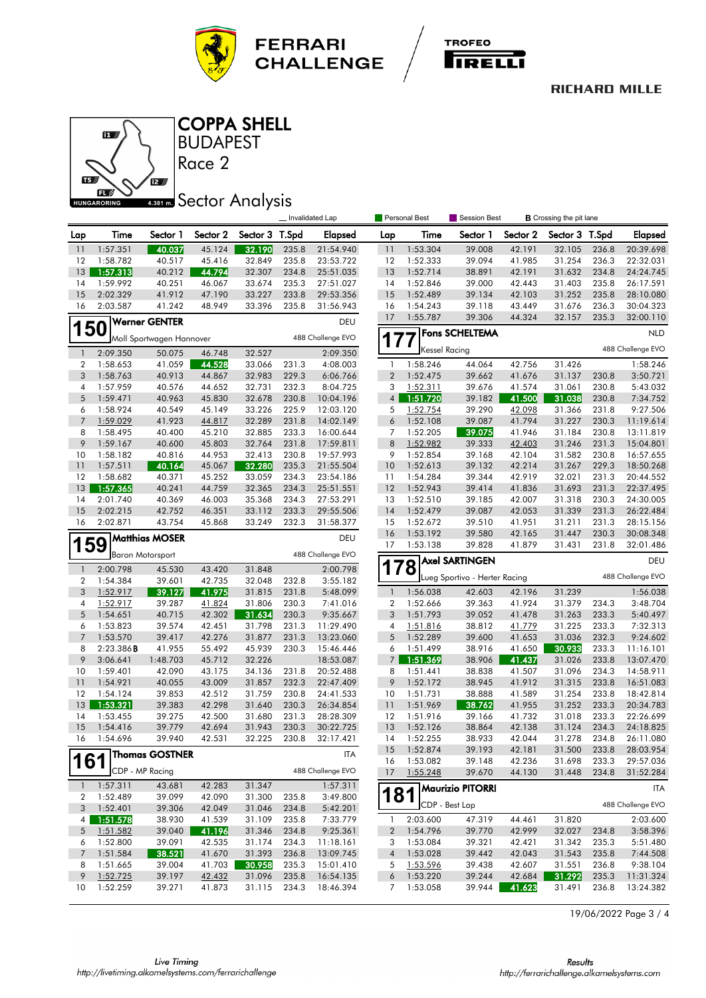





BUDAPEST COPPA SHELL

Race 2

# **4.381 mm** Sector Analysis

|                       |           |                          |          |          |       | Invalidated Lap   |                          | Personal Best        | Session Best                    |                  | <b>B</b> Crossing the pit lane |                |                        |
|-----------------------|-----------|--------------------------|----------|----------|-------|-------------------|--------------------------|----------------------|---------------------------------|------------------|--------------------------------|----------------|------------------------|
| Lap                   | Time      | Sector 1                 | Sector 2 | Sector 3 | T.Spd | Elapsed           | Lap                      | Time                 | Sector 1                        | Sector 2         | Sector 3                       | T.Spd          | <b>Elapsed</b>         |
| $\overline{11}$       | 1:57.351  | 40.037                   | 45.124   | 32.190   | 235.8 | 21:54.940         | 11                       | 1:53.304             | 39.008                          | 42.191           | 32.105                         | 236.8          | 20:39.698              |
| 12                    | 1:58.782  | 40.517                   | 45.416   | 32.849   | 235.8 | 23:53.722         | 12                       | 1:52.333             | 39.094                          | 41.985           | 31.254                         | 236.3          | 22:32.031              |
| 13                    | 1:57.313  | 40.212                   | 44.794   | 32.307   | 234.8 | 25:51.035         | 13                       | 1:52.714             | 38.891                          | 42.191           | 31.632                         | 234.8          | 24:24.745              |
| 14                    | 1:59.992  | 40.251                   | 46.067   | 33.674   | 235.3 | 27:51.027         | 14                       | 1:52.846             | 39.000                          | 42.443           | 31.403                         | 235.8          | 26:17.591              |
| 15                    | 2:02.329  | 41.912                   | 47.190   | 33.227   | 233.8 | 29:53.356         | 15                       | 1:52.489             | 39.134                          | 42.103           | 31.252                         | 235.8          | 28:10.080              |
| 16                    | 2:03.587  | 41.242                   | 48.949   | 33.396   | 235.8 | 31:56.943         | 16                       | 1:54.243             | 39.118                          | 43.449           | 31.676                         | 236.3          | 30:04.323              |
|                       |           | <b>Werner GENTER</b>     |          |          |       | DEU               | 17                       | 1:55.787             | 39.306                          | 44.324           | 32.157                         | 235.3          | 32:00.110              |
| 150                   |           | Moll Sportwagen Hannover |          |          |       | 488 Challenge EVO |                          |                      | <b>Fons SCHELTEMA</b>           |                  |                                |                | <b>NLD</b>             |
| $\mathbf{1}$          | 2:09.350  | 50.075                   | 46.748   | 32.527   |       | 2:09.350          |                          | <b>Kessel Racing</b> |                                 |                  |                                |                | 488 Challenge EVO      |
| $\overline{2}$        | 1:58.653  | 41.059                   | 44.528   | 33.066   | 231.3 | 4:08.003          | 1                        | 1:58.246             | 44.064                          | 42.756           | 31.426                         |                | 1:58.246               |
| 3                     | 1:58.763  | 40.913                   | 44.867   | 32.983   | 229.3 | 6:06.766          | $\overline{2}$           | 1:52.475             | 39.662                          | 41.676           | 31.137                         | 230.8          | 3:50.721               |
| 4                     | 1:57.959  | 40.576                   | 44.652   | 32.731   | 232.3 | 8:04.725          | 3                        | 1:52.311             | 39.676                          | 41.574           | 31.061                         | 230.8          | 5:43.032               |
| 5                     | 1:59.471  | 40.963                   | 45.830   | 32.678   | 230.8 | 10:04.196         | $\overline{4}$           | 1:51.720             | 39.182                          | 41.500           | 31.038                         | 230.8          | 7:34.752               |
| 6                     | 1:58.924  | 40.549                   | 45.149   | 33.226   | 225.9 | 12:03.120         | 5                        | 1:52.754             | 39.290                          | 42.098           | 31.366                         | 231.8          | 9:27.506               |
| $\overline{7}$        | 1:59.029  | 41.923                   | 44.817   | 32.289   | 231.8 | 14:02.149         | 6                        | 1:52.108             | 39.087                          | 41.794           | 31.227                         | 230.3          | 11:19.614              |
| 8                     | 1:58.495  | 40.400                   | 45.210   | 32.885   | 233.3 | 16:00.644         | 7                        | 1:52.205             | 39.075                          | 41.946           | 31.184                         | 230.8          | 13:11.819              |
| 9                     | 1:59.167  | 40.600                   | 45.803   | 32.764   | 231.8 | 17:59.811         | 8                        | 1:52.982             | 39.333                          | 42.403           | 31.246                         | 231.3          | 15:04.801              |
| 10                    | 1:58.182  | 40.816                   | 44.953   | 32.413   | 230.8 | 19:57.993         | 9                        | 1:52.854             | 39.168                          | 42.104           | 31.582                         | 230.8          | 16:57.655              |
| 11                    | 1:57.511  | 40.164                   | 45.067   | 32.280   | 235.3 | 21:55.504         | 10                       | 1:52.613             | 39.132                          | 42.214           | 31.267                         | 229.3          | 18:50.268              |
| 12                    | 1:58.682  | 40.371                   | 45.252   | 33.059   | 234.3 | 23:54.186         | 11                       | 1:54.284             | 39.344                          | 42.919           | 32.021                         | 231.3          | 20:44.552              |
| 13                    | 1:57.365  | 40.241                   | 44.759   | 32.365   | 234.3 | 25:51.551         | 12                       | 1:52.943             | 39.414                          | 41.836           | 31.693                         | 231.3          | 22:37.495              |
| 14                    | 2:01.740  | 40.369                   | 46.003   | 35.368   | 234.3 | 27:53.291         | 13                       | 1:52.510             | 39.185                          | 42.007           | 31.318                         | 230.3          | 24:30.005              |
| 15                    | 2:02.215  | 42.752                   | 46.351   | 33.112   | 233.3 | 29:55.506         | 14                       | 1:52.479             | 39.087                          | 42.053           | 31.339                         | 231.3          | 26:22.484              |
| 16                    | 2:02.871  | 43.754                   | 45.868   | 33.249   | 232.3 | 31:58.377         | 15                       | 1:52.672             | 39.510                          | 41.951           | 31.211                         | 231.3          | 28:15.156              |
| <b>Matthias MOSER</b> |           |                          |          |          | DEU   | 16                | 1:53.192                 | 39.580               | 42.165                          | 31.447           | 230.3                          | 30:08.348      |                        |
| 59                    |           |                          |          |          |       | 17                | 1:53.138                 | 39.828               | 41.879                          | 31.431           | 231.8                          | 32:01.486      |                        |
|                       |           | <b>Baron Motorsport</b>  |          |          |       | 488 Challenge EVO |                          |                      | <b>Axel SARTINGEN</b>           |                  |                                |                | DEU                    |
| $\mathbf{1}$          | 2:00.798  | 45.530                   | 43.420   | 31.848   |       | 2:00.798          |                          | ΄8                   |                                 |                  |                                |                |                        |
| $\overline{2}$        | 1:54.384  | 39.601                   | 42.735   | 32.048   | 232.8 | 3:55.182          |                          |                      | Lueg Sportivo - Herter Racing   |                  |                                |                | 488 Challenge EVO      |
| 3                     | 1:52.917  | 39.127                   | 41.975   | 31.815   | 231.8 | 5:48.099          | $\overline{\phantom{a}}$ | 1:56.038             | 42.603                          | 42.196           | 31.239                         |                | 1:56.038               |
| 4                     | 1:52.917  | 39.287                   | 41.824   | 31.806   | 230.3 | 7:41.016          | $\boldsymbol{2}$         | 1:52.666             | 39.363                          | 41.924           | 31.379                         | 234.3          | 3:48.704               |
| 5                     | 1:54.651  | 40.715                   | 42.302   | 31.634   | 230.3 | 9:35.667          | 3                        | 1:51.793             | 39.052                          | 41.478           | 31.263                         | 233.3          | 5:40.497               |
| 6                     | 1:53.823  | 39.574                   | 42.451   | 31.798   | 231.3 | 11:29.490         | 4                        | 1:51.816             | 38.812                          | 41.779           | 31.225                         | 233.3          | 7:32.313               |
| $\overline{7}$        | 1:53.570  | 39.417                   | 42.276   | 31.877   | 231.3 | 13:23.060         | 5                        | 1:52.289             | 39.600                          | 41.653           | 31.036                         | 232.3          | 9:24.602               |
| 8                     | 2:23.386B | 41.955                   | 55.492   | 45.939   | 230.3 | 15:46.446         | 6                        | 1:51.499             | 38.916                          | 41.650           | 30.933                         | 233.3          | 11:16.101              |
| 9                     | 3:06.641  | 1:48.703                 | 45.712   | 32.226   |       | 18:53.087         | $7\overline{ }$          | 1:51.369             | 38.906                          | 41.437           | 31.026                         | 233.8          | 13:07.470              |
| 10                    | 1:59.401  | 42.090                   | 43.175   | 34.136   | 231.8 | 20:52.488         | 8                        | 1:51.441             | 38.838                          | 41.507           | 31.096                         | 234.3          | 14:58.911              |
| 11                    | 1:54.921  | 40.055                   | 43.009   | 31.857   | 232.3 | 22:47.409         | 9                        | 1:52.172             | 38.945                          | 41.912           | 31.315                         | 233.8          | 16:51.083              |
| 12                    | 1:54.124  | 39.853                   | 42.512   | 31.759   | 230.8 | 24:41.533         | 10                       | 1:51.731             | 38.888                          | 41.589           | 31.254                         | 233.8          | 18:42.814              |
| 13                    | 1:53.321  | 39.383                   | 42.298   | 31.640   | 230.3 | 26:34.854         | 11                       | 1:51.969             | 38.762                          | 41.955           | 31.252                         | 233.3          | 20:34.783              |
| 14                    | 1:53.455  | 39.275                   | 42.500   | 31.680   | 231.3 | 28:28.309         | 12                       | 1:51.916             | 39.166                          | 41.732           | 31.018                         | 233.3          | 22:26.699              |
| 15                    | 1:54.416  | 39.779                   | 42.694   | 31.943   | 230.3 | 30:22.725         | 13                       | 1:52.126             | 38.864                          | 42.138           | 31.124                         | 234.3          | 24:18.825              |
| 16                    | 1:54.696  | 39.940                   | 42.531   | 32.225   | 230.8 | 32:17.421         | 14                       | 1:52.255             | 38.933                          | 42.044           | 31.278                         | 234.8          | 26:11.080              |
| 161                   |           | <b>Thomas GOSTNER</b>    |          |          |       | <b>ITA</b>        | 15<br>16                 | 1:52.874<br>1:53.082 | 39.193<br>39.148                | 42.181<br>42.236 | 31.500<br>31.698               | 233.8<br>233.3 | 28:03.954<br>29:57.036 |
|                       |           | CDP - MP Racing          |          |          |       | 488 Challenge EVO | 17                       | 1:55.248             | 39.670                          | 44.130           | 31.448                         | 234.8          | 31:52.284              |
| $\mathbf{1}$          | 1:57.311  | 43.681                   | 42.283   | 31.347   |       | 1:57.311          |                          |                      | 181 <sup>Maurizio</sup> PITORRI |                  |                                |                |                        |
| 2                     | 1:52.489  | 39.099                   | 42.090   | 31.300   | 235.8 | 3:49.800          |                          |                      |                                 |                  |                                |                | ITA                    |
| 3                     | 1:52.401  | 39.306                   | 42.049   | 31.046   | 234.8 | 5:42.201          |                          | CDP - Best Lap       |                                 |                  |                                |                | 488 Challenge EVO      |
| 4                     | 1:51.578  | 38.930                   | 41.539   | 31.109   | 235.8 | 7:33.779          | -1                       | 2:03.600             | 47.319                          | 44.461           | 31.820                         |                | 2:03.600               |
| 5                     | 1:51.582  | 39.040                   | 41.196   | 31.346   | 234.8 | 9:25.361          | $\overline{2}$           | 1:54.796             | 39.770                          | 42.999           | 32.027                         | 234.8          | 3:58.396               |
| 6                     | 1:52.800  | 39.091                   | 42.535   | 31.174   | 234.3 | 11:18.161         | 3                        | 1:53.084             | 39.321                          | 42.421           | 31.342                         | 235.3          | 5:51.480               |
| $\overline{7}$        | 1:51.584  | 38.521                   | 41.670   | 31.393   | 236.8 | 13:09.745         | $\overline{4}$           | 1:53.028             | 39.442                          | 42.043           | 31.543                         | 235.8          | 7:44.508               |
| 8                     | 1:51.665  | 39.004                   | 41.703   | 30.958   | 235.3 | 15:01.410         | 5                        | 1:53.596             | 39.438                          | 42.607           | 31.551                         | 236.8          | 9:38.104               |
| 9                     | 1:52.725  | 39.197                   | 42.432   | 31.096   | 235.8 | 16:54.135         | 6                        | 1:53.220             | 39.244                          | 42.684           | 31.292                         | 235.3          | 11:31.324              |
| 10                    | 1:52.259  | 39.271                   | 41.873   | 31.115   | 234.3 | 18:46.394         | 7                        | 1:53.058             | 39.944                          | 41.623           | 31.491                         | 236.8          | 13:24.382              |

19/06/2022 Page 3 / 4